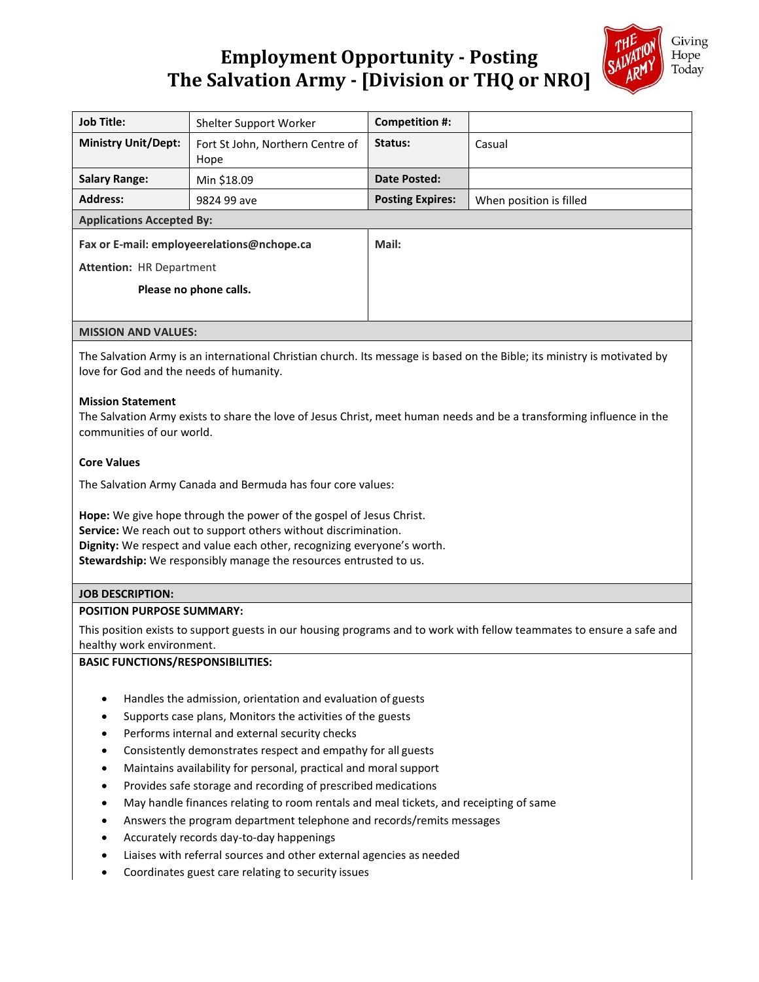# **Employment Opportunity - Posting The Salvation Army - [Division or THQ or NRO]**



| <b>Job Title:</b>                          | Shelter Support Worker                   | Competition #:          |                         |
|--------------------------------------------|------------------------------------------|-------------------------|-------------------------|
| <b>Ministry Unit/Dept:</b>                 | Fort St John, Northern Centre of<br>Hope | Status:                 | Casual                  |
| <b>Salary Range:</b>                       | Min \$18.09                              | Date Posted:            |                         |
| <b>Address:</b>                            | 9824 99 ave                              | <b>Posting Expires:</b> | When position is filled |
| <b>Applications Accepted By:</b>           |                                          |                         |                         |
| Fax or E-mail: employeerelations@nchope.ca |                                          | Mail:                   |                         |
| <b>Attention: HR Department</b>            |                                          |                         |                         |
| Please no phone calls.                     |                                          |                         |                         |
|                                            |                                          |                         |                         |

## **MISSION AND VALUES:**

The Salvation Army is an international Christian church. Its message is based on the Bible; its ministry is motivated by love for God and the needs of humanity.

# **Mission Statement**

The Salvation Army exists to share the love of Jesus Christ, meet human needs and be a transforming influence in the communities of our world.

# **Core Values**

The Salvation Army Canada and Bermuda has four core values:

**Hope:** We give hope through the power of the gospel of Jesus Christ. **Service:** We reach out to support others without discrimination. **Dignity:** We respect and value each other, recognizing everyone's worth. **Stewardship:** We responsibly manage the resources entrusted to us.

# **JOB DESCRIPTION:**

## **POSITION PURPOSE SUMMARY:**

This position exists to support guests in our housing programs and to work with fellow teammates to ensure a safe and healthy work environment.

# **BASIC FUNCTIONS/RESPONSIBILITIES:**

- Handles the admission, orientation and evaluation of guests
- Supports case plans, Monitors the activities of the guests
- Performs internal and external security checks
- Consistently demonstrates respect and empathy for all guests
- Maintains availability for personal, practical and moral support
- Provides safe storage and recording of prescribed medications
- May handle finances relating to room rentals and meal tickets, and receipting of same
- Answers the program department telephone and records/remits messages
- Accurately records day-to-day happenings
- Liaises with referral sources and other external agencies as needed
- Coordinates guest care relating to security issues